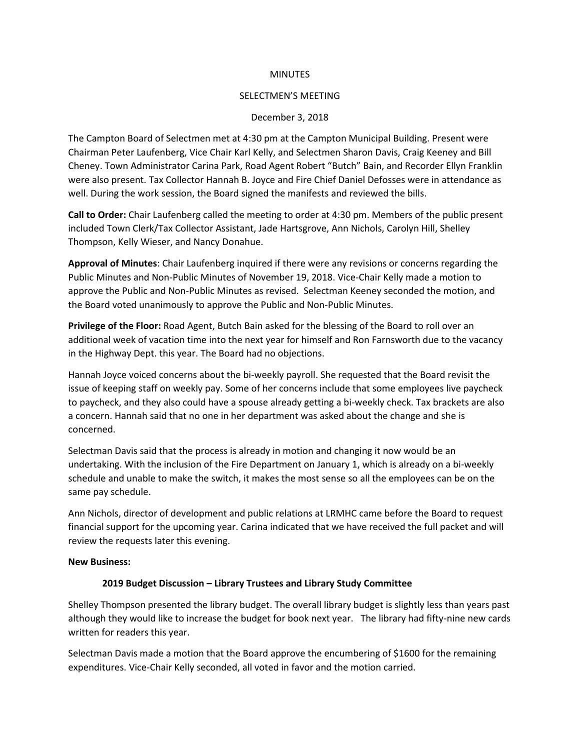## **MINUTES**

#### SELECTMEN'S MEETING

#### December 3, 2018

The Campton Board of Selectmen met at 4:30 pm at the Campton Municipal Building. Present were Chairman Peter Laufenberg, Vice Chair Karl Kelly, and Selectmen Sharon Davis, Craig Keeney and Bill Cheney. Town Administrator Carina Park, Road Agent Robert "Butch" Bain, and Recorder Ellyn Franklin were also present. Tax Collector Hannah B. Joyce and Fire Chief Daniel Defosses were in attendance as well. During the work session, the Board signed the manifests and reviewed the bills.

**Call to Order:** Chair Laufenberg called the meeting to order at 4:30 pm. Members of the public present included Town Clerk/Tax Collector Assistant, Jade Hartsgrove, Ann Nichols, Carolyn Hill, Shelley Thompson, Kelly Wieser, and Nancy Donahue.

**Approval of Minutes**: Chair Laufenberg inquired if there were any revisions or concerns regarding the Public Minutes and Non-Public Minutes of November 19, 2018. Vice-Chair Kelly made a motion to approve the Public and Non-Public Minutes as revised. Selectman Keeney seconded the motion, and the Board voted unanimously to approve the Public and Non-Public Minutes.

**Privilege of the Floor:** Road Agent, Butch Bain asked for the blessing of the Board to roll over an additional week of vacation time into the next year for himself and Ron Farnsworth due to the vacancy in the Highway Dept. this year. The Board had no objections.

Hannah Joyce voiced concerns about the bi-weekly payroll. She requested that the Board revisit the issue of keeping staff on weekly pay. Some of her concerns include that some employees live paycheck to paycheck, and they also could have a spouse already getting a bi-weekly check. Tax brackets are also a concern. Hannah said that no one in her department was asked about the change and she is concerned.

Selectman Davis said that the process is already in motion and changing it now would be an undertaking. With the inclusion of the Fire Department on January 1, which is already on a bi-weekly schedule and unable to make the switch, it makes the most sense so all the employees can be on the same pay schedule.

Ann Nichols, director of development and public relations at LRMHC came before the Board to request financial support for the upcoming year. Carina indicated that we have received the full packet and will review the requests later this evening.

## **New Business:**

## **2019 Budget Discussion – Library Trustees and Library Study Committee**

Shelley Thompson presented the library budget. The overall library budget is slightly less than years past although they would like to increase the budget for book next year. The library had fifty-nine new cards written for readers this year.

Selectman Davis made a motion that the Board approve the encumbering of \$1600 for the remaining expenditures. Vice-Chair Kelly seconded, all voted in favor and the motion carried.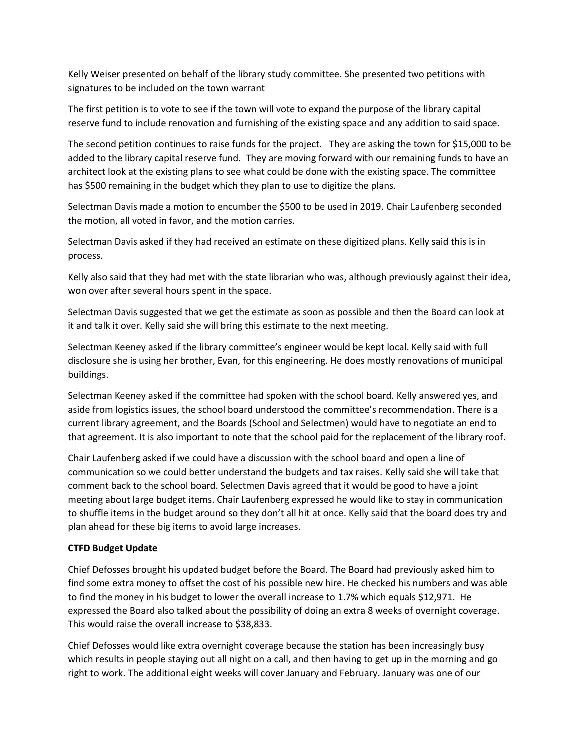Kelly Weiser presented on behalf of the library study committee. She presented two petitions with signatures to be included on the town warrant

The first petition is to vote to see if the town will vote to expand the purpose of the library capital reserve fund to include renovation and furnishing of the existing space and any addition to said space.

The second petition continues to raise funds for the project. They are asking the town for \$15,000 to be added to the library capital reserve fund. They are moving forward with our remaining funds to have an architect look at the existing plans to see what could be done with the existing space. The committee has \$500 remaining in the budget which they plan to use to digitize the plans.

Selectman Davis made a motion to encumber the \$500 to be used in 2019. Chair Laufenberg seconded the motion, all voted in favor, and the motion carries.

Selectman Davis asked if they had received an estimate on these digitized plans. Kelly said this is in process.

Kelly also said that they had met with the state librarian who was, although previously against their idea, won over after several hours spent in the space.

Selectman Davis suggested that we get the estimate as soon as possible and then the Board can look at it and talk it over. Kelly said she will bring this estimate to the next meeting.

Selectman Keeney asked if the library committee's engineer would be kept local. Kelly said with full disclosure she is using her brother, Evan, for this engineering. He does mostly renovations of municipal buildings.

Selectman Keeney asked if the committee had spoken with the school board. Kelly answered yes, and aside from logistics issues, the school board understood the committee's recommendation. There is a current library agreement, and the Boards (School and Selectmen) would have to negotiate an end to that agreement. It is also important to note that the school paid for the replacement of the library roof.

Chair Laufenberg asked if we could have a discussion with the school board and open a line of communication so we could better understand the budgets and tax raises. Kelly said she will take that comment back to the school board. Selectmen Davis agreed that it would be good to have a joint meeting about large budget items. Chair Laufenberg expressed he would like to stay in communication to shuffle items in the budget around so they don't all hit at once. Kelly said that the board does try and plan ahead for these big items to avoid large increases.

# **CTFD Budget Update**

Chief Defosses brought his updated budget before the Board. The Board had previously asked him to find some extra money to offset the cost of his possible new hire. He checked his numbers and was able to find the money in his budget to lower the overall increase to 1.7% which equals \$12,971. He expressed the Board also talked about the possibility of doing an extra 8 weeks of overnight coverage. This would raise the overall increase to \$38,833.

Chief Defosses would like extra overnight coverage because the station has been increasingly busy which results in people staying out all night on a call, and then having to get up in the morning and go right to work. The additional eight weeks will cover January and February. January was one of our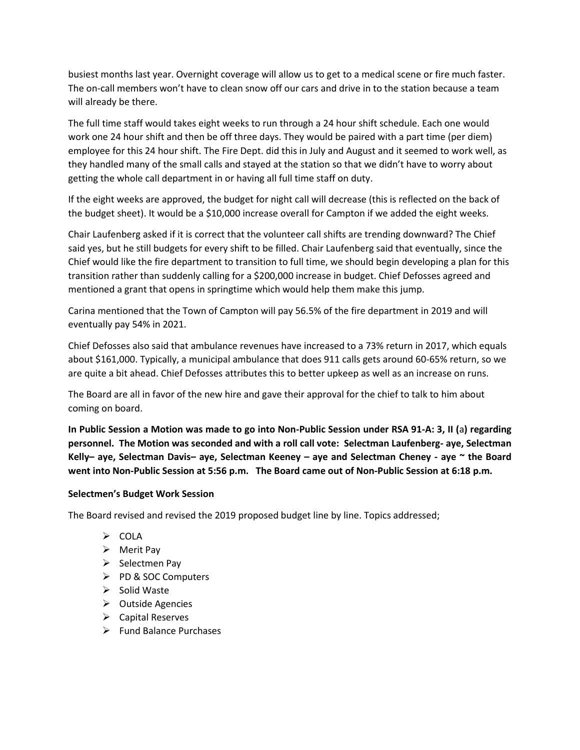busiest months last year. Overnight coverage will allow us to get to a medical scene or fire much faster. The on-call members won't have to clean snow off our cars and drive in to the station because a team will already be there.

The full time staff would takes eight weeks to run through a 24 hour shift schedule. Each one would work one 24 hour shift and then be off three days. They would be paired with a part time (per diem) employee for this 24 hour shift. The Fire Dept. did this in July and August and it seemed to work well, as they handled many of the small calls and stayed at the station so that we didn't have to worry about getting the whole call department in or having all full time staff on duty.

If the eight weeks are approved, the budget for night call will decrease (this is reflected on the back of the budget sheet). It would be a \$10,000 increase overall for Campton if we added the eight weeks.

Chair Laufenberg asked if it is correct that the volunteer call shifts are trending downward? The Chief said yes, but he still budgets for every shift to be filled. Chair Laufenberg said that eventually, since the Chief would like the fire department to transition to full time, we should begin developing a plan for this transition rather than suddenly calling for a \$200,000 increase in budget. Chief Defosses agreed and mentioned a grant that opens in springtime which would help them make this jump.

Carina mentioned that the Town of Campton will pay 56.5% of the fire department in 2019 and will eventually pay 54% in 2021.

Chief Defosses also said that ambulance revenues have increased to a 73% return in 2017, which equals about \$161,000. Typically, a municipal ambulance that does 911 calls gets around 60-65% return, so we are quite a bit ahead. Chief Defosses attributes this to better upkeep as well as an increase on runs.

The Board are all in favor of the new hire and gave their approval for the chief to talk to him about coming on board.

**In Public Session a Motion was made to go into Non-Public Session under RSA 91-A: 3, II (**a**) regarding personnel. The Motion was seconded and with a roll call vote: Selectman Laufenberg- aye, Selectman Kelly– aye, Selectman Davis– aye, Selectman Keeney – aye and Selectman Cheney - aye ~ the Board went into Non-Public Session at 5:56 p.m. The Board came out of Non-Public Session at 6:18 p.m.**

# **Selectmen's Budget Work Session**

The Board revised and revised the 2019 proposed budget line by line. Topics addressed;

- $\triangleright$  COLA
- $\triangleright$  Merit Pay
- $\triangleright$  Selectmen Pay
- PD & SOC Computers
- $\triangleright$  Solid Waste
- $\triangleright$  Outside Agencies
- $\triangleright$  Capital Reserves
- $\triangleright$  Fund Balance Purchases